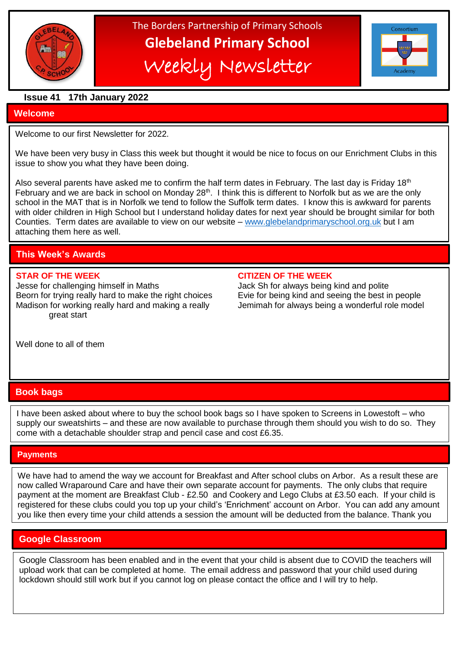

The Borders Partnership of Primary Schools **Glebeland Primary School** Weekly Newsletter



## **Issue 41 17th January 2022**

## **Welcome**

Welcome to our first Newsletter for 2022.

We have been very busy in Class this week but thought it would be nice to focus on our Enrichment Clubs in this issue to show you what they have been doing.

Also several parents have asked me to confirm the half term dates in February. The last day is Friday 18<sup>th</sup> February and we are back in school on Monday 28<sup>th</sup>. I think this is different to Norfolk but as we are the only school in the MAT that is in Norfolk we tend to follow the Suffolk term dates. I know this is awkward for parents with older children in High School but I understand holiday dates for next year should be brought similar for both Counties. Term dates are available to view on our website – [www.glebelandprimaryschool.org.uk](http://www.glebelandprimaryschool.org.uk/) but I am attaching them here as well.

# **This Week's Awards**

Jesse for challenging himself in Maths Jack Sh for always being kind and polite Beorn for trying really hard to make the right choices Evie for being kind and seeing the best in people Madison for working really hard and making a really **Jemimah for always being a wonderful role model** great start

### **STAR OF THE WEEK CITIZEN OF THE WEEK**

Well done to all of them

## **Book bags**

I have been asked about where to buy the school book bags so I have spoken to Screens in Lowestoft – who supply our sweatshirts – and these are now available to purchase through them should you wish to do so. They come with a detachable shoulder strap and pencil case and cost £6.35.

## **Payments**

 $\overline{1}$ We have had to amend the way we account for Breakfast and After school clubs on Arbor. As a result these are now called Wraparound Care and have their own separate account for payments. The only clubs that require payment at the moment are Breakfast Club - £2.50 and Cookery and Lego Clubs at £3.50 each. If your child is registered for these clubs could you top up your child's 'Enrichment' account on Arbor. You can add any amount you like then every time your child attends a session the amount will be deducted from the balance. Thank you

## **Google Classroom**

upload work that can be completed at home. The email address and password that your child used during Google Classroom has been enabled and in the event that your child is absent due to COVID the teachers will lockdown should still work but if you cannot log on please contact the office and I will try to help.